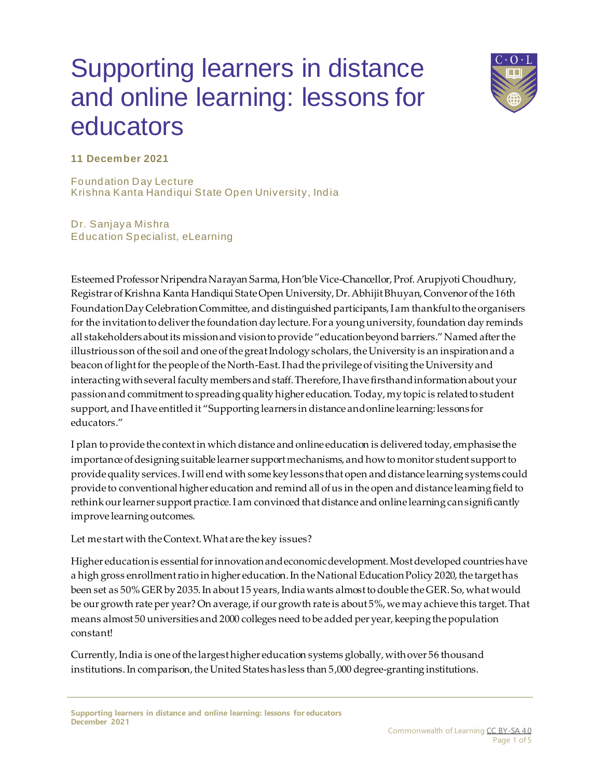## Supporting learners in distance and online learning: lessons for educators



**11 December 2021**

Foundation Day Lecture Krishna Kanta Handiqui State Open University, India

Dr. Sanjaya Mishra Education Specialist, eLearning

Esteemed Professor Nripendra Narayan Sarma, Hon'ble Vice-Chancellor, Prof. Arupjyoti Choudhury, Registrar of Krishna Kanta Handiqui State Open University, Dr. Abhijit Bhuyan, Convenor of the 16th Foundation Day Celebration Committee, and distinguished participants, I am thankful to the organisers for the invitation to deliver the foundation day lecture. For a young university, foundation day reminds all stakeholders about its mission and vision to provide "education beyond barriers." Named after the illustrious son of the soil and one of the great Indology scholars, the University is an inspiration and a beacon of light for the people of the North-East. I had the privilege of visiting the University and interacting with several faculty members and staff. Therefore, I have firsthand information about your passion and commitment to spreading quality higher education. Today, my topic is related to student support, and I have entitled it "Supporting learners in distance and online learning: lessons for educators."

I plan to provide the context in which distance and online education is delivered today, emphasise the importance of designing suitable learner support mechanisms, and how to monitor student support to provide quality services. I will end with some key lessons that open and distance learning systems could provide to conventional higher education and remind all of us in the open and distance learning field to rethink our learner support practice. I am convinced that distance and online learning can significantly improve learning outcomes.

Let me start with the Context. What are the key issues?

Higher education is essential for innovation and economic development. Most developed countries have a high gross enrollment ratio in higher education. In the National Education Policy 2020, the target has been set as 50% GER by 2035. In about 15 years, India wants almost to double the GER. So, what would be our growth rate per year? On average, if our growth rate is about 5%, we may achieve this target. That means almost 50 universities and 2000 colleges need to be added per year, keeping the population constant!

Currently, India is one of the largest higher education systems globally, with over 56 thousand institutions. In comparison, the United States has less than 5,000 degree-granting institutions.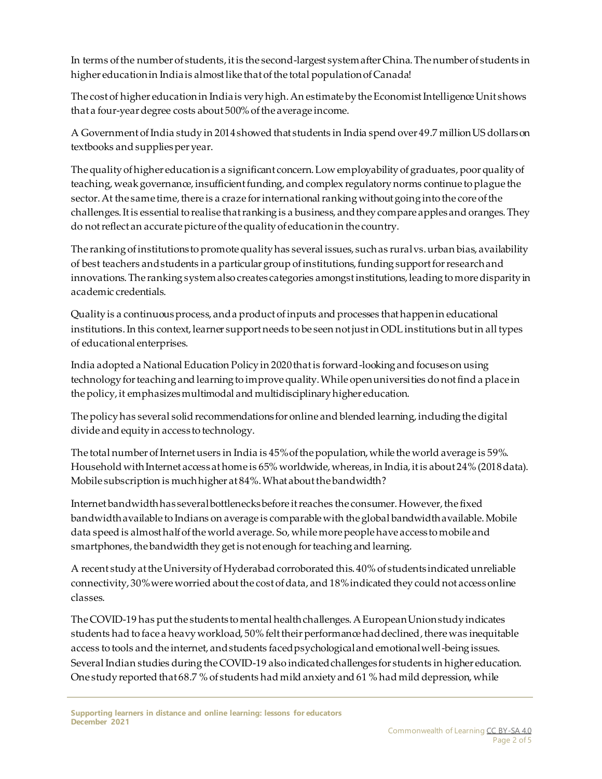In terms of the number of students, it is the second-largest system after China. The number of students in higher education in India is almost like that of the total population of Canada!

The cost of higher education in India is very high. An estimate by the Economist Intelligence Unit shows that a four-year degree costs about 500% of the average income.

A Government of India study in 2014 showed that students in India spend over 49.7 million US dollars on textbooks and supplies per year.

The quality of higher education is a significant concern. Low employability of graduates, poor quality of teaching, weak governance, insufficient funding, and complex regulatory norms continue to plague the sector. At the same time, there is a craze for international ranking without going into the core of the challenges. It is essential to realise that ranking is a business, and they compare apples and oranges. They do not reflect an accurate picture of the quality of education in the country.

The ranking of institutions to promote quality has several issues, such as rural vs. urban bias, availability of best teachers and students in a particular group of institutions, funding support for research and innovations. The ranking system also creates categories amongst institutions, leading to more disparity in academic credentials.

Quality is a continuous process, and a product of inputs and processes that happen in educational institutions. In this context, learner support needs to be seen not just in ODL institutions but in all types of educational enterprises.

India adopted a National Education Policy in 2020 that is forward-looking and focuses on using technology for teaching and learning to improve quality. While open universities do not find a place in the policy, it emphasizes multimodal and multidisciplinary higher education.

The policy has several solid recommendations for online and blended learning, including the digital divide and equity in access to technology.

The total number of Internet users in India is 45% of the population, while the world average is 59%. Household with Internet access at home is 65% worldwide, whereas, in India, it is about 24% (2018 data). Mobile subscription is much higher at 84%. What about the bandwidth?

Internet bandwidth has several bottlenecks before it reaches the consumer. However, the fixed bandwidth available to Indians on average is comparable with the global bandwidth available. Mobile data speed is almost half of the world average. So, while more people have access to mobile and smartphones, the bandwidth they get is not enough for teaching and learning.

A recent study at the University of Hyderabad corroborated this. 40% of students indicated unreliable connectivity, 30% were worried about the cost of data, and 18% indicated they could not access online classes.

The COVID-19 has put the students to mental health challenges. A European Union study indicates students had to face a heavy workload, 50% felt their performance had declined, there was inequitable access to tools and the internet, and students faced psychological and emotional well-being issues. Several Indian studies during the COVID-19 also indicated challenges for students in higher education. One study reported that 68.7 % of students had mild anxiety and 61 % had mild depression, while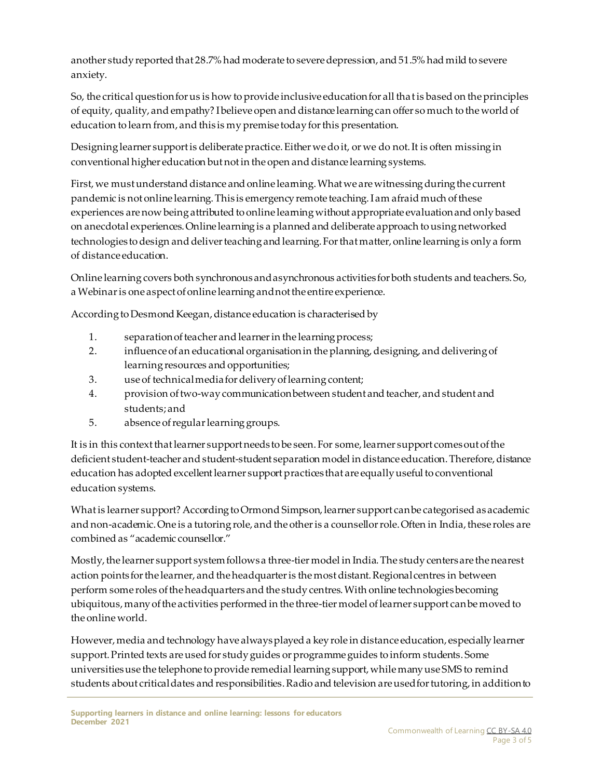another study reported that 28.7% had moderate to severe depression, and 51.5% had mild to severe anxiety.

So, the critical question for us is how to provide inclusive education for all that is based on the principles of equity, quality, and empathy? I believe open and distance learning can offer so much to the world of education to learn from, and this is my premise today for this presentation.

Designing learner support is deliberate practice. Either we do it, or we do not. It is often missing in conventional higher education but not in the open and distance learning systems.

First, we must understand distance and online learning. What we are witnessing during the current pandemic is not online learning. This is emergency remote teaching. I am afraid much of these experiences are now being attributed to online learning without appropriate evaluation and only based on anecdotal experiences. Online learning is a planned and deliberate approach to using networked technologies to design and deliver teaching and learning. For that matter, online learning is only a form of distance education.

Online learning covers both synchronous and asynchronous activities for both students and teachers. So, a Webinar is one aspect of online learning and not the entire experience.

According to Desmond Keegan, distance education is characterised by

- 1. separation of teacher and learner in the learning process;
- 2. influence of an educational organisation in the planning, designing, and delivering of learning resources and opportunities;
- 3. use of technical media for delivery of learning content;
- 4. provision of two-way communication between student and teacher, and student and students; and
- 5. absence of regular learning groups.

It is in this context that learner support needs to be seen. For some, learner support comes out of the deficient student-teacher and student-student separation model in distance education. Therefore, distance education has adopted excellent learner support practices that are equally useful to conventional education systems.

What is learner support? According to Ormond Simpson, learner support can be categorised as academic and non-academic. One is a tutoring role, and the other is a counsellor role. Often in India, these roles are combined as "academic counsellor."

Mostly, the learner support system follows a three-tier model in India. The study centers are the nearest action points for the learner, and the headquarter is the most distant. Regional centres in between perform some roles of the headquarters and the study centres. With online technologies becoming ubiquitous, many of the activities performed in the three-tier model of learner support can be moved to the online world.

However, media and technology have always played a key role in distance education, especially learner support. Printed texts are used for study guides or programme guides to inform students. Some universities use the telephone to provide remedial learning support, while many use SMS to remind students about critical dates and responsibilities. Radio and television are used for tutoring, in addition to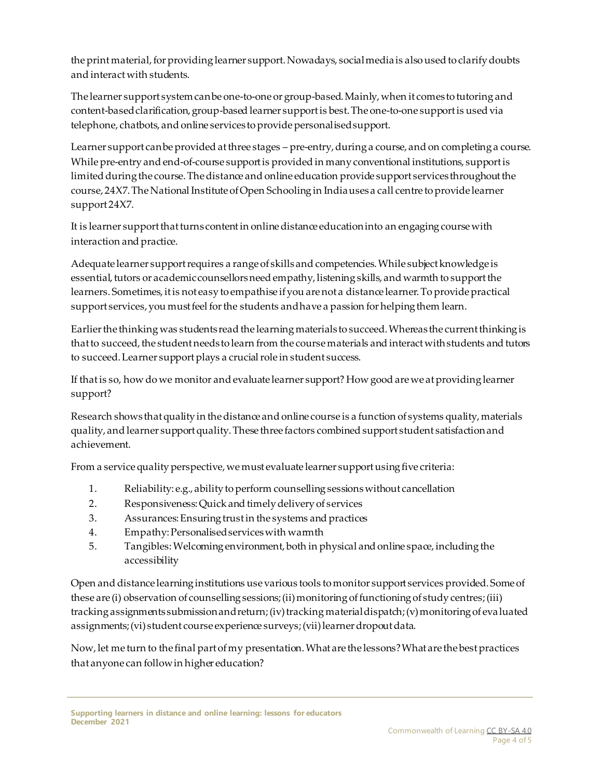the print material, for providing learner support. Nowadays, social media is also used to clarify doubts and interact with students.

The learner support system can be one-to-one or group-based. Mainly, when it comes to tutoring and content-based clarification, group-based learner support is best. The one-to-one support is used via telephone, chatbots, and online services to provide personalised support.

Learner support can be provided at three stages – pre-entry, during a course, and on completing a course. While pre-entry and end-of-course support is provided in many conventional institutions, support is limited during the course. The distance and online education provide support services throughout the course, 24X7. The National Institute of Open Schooling in India uses a call centre to provide learner support 24X7.

It is learner support that turns content in online distance education into an engaging course with interaction and practice.

Adequate learner support requires a range of skills and competencies. While subject knowledge is essential, tutors or academic counsellors need empathy, listening skills, and warmth to support the learners. Sometimes, it is not easy to empathise if you are not a distance learner. To provide practical support services, you must feel for the students and have a passion for helping them learn.

Earlier the thinking was students read the learning materials to succeed. Whereas the current thinking is that to succeed, the student needs to learn from the course materials and interact with students and tutors to succeed. Learner support plays a crucial role in student success.

If that is so, how do we monitor and evaluate learner support? How good are we at providing learner support?

Research shows that quality in the distance and online course is a function of systems quality, materials quality, and learner support quality. These three factors combined support student satisfaction and achievement.

From a service quality perspective, we must evaluate learner support using five criteria:

- 1. Reliability: e.g., ability to perform counselling sessions without cancellation
- 2. Responsiveness: Quick and timely delivery of services
- 3. Assurances: Ensuring trust in the systems and practices
- 4. Empathy: Personalised services with warmth
- 5. Tangibles: Welcoming environment, both in physical and online space, including the accessibility

Open and distance learning institutions use various tools to monitor support services provided. Some of these are (i) observation of counselling sessions; (ii) monitoring of functioning of study centres; (iii) tracking assignments submission and return; (iv) tracking material dispatch; (v) monitoring of evaluated assignments; (vi) student course experience surveys; (vii) learner dropout data.

Now, let me turn to the final part of my presentation. What are the lessons? What are the best practices that anyone can follow in higher education?

**Supporting learners in distance and online learning: lessons for educators December 2021**